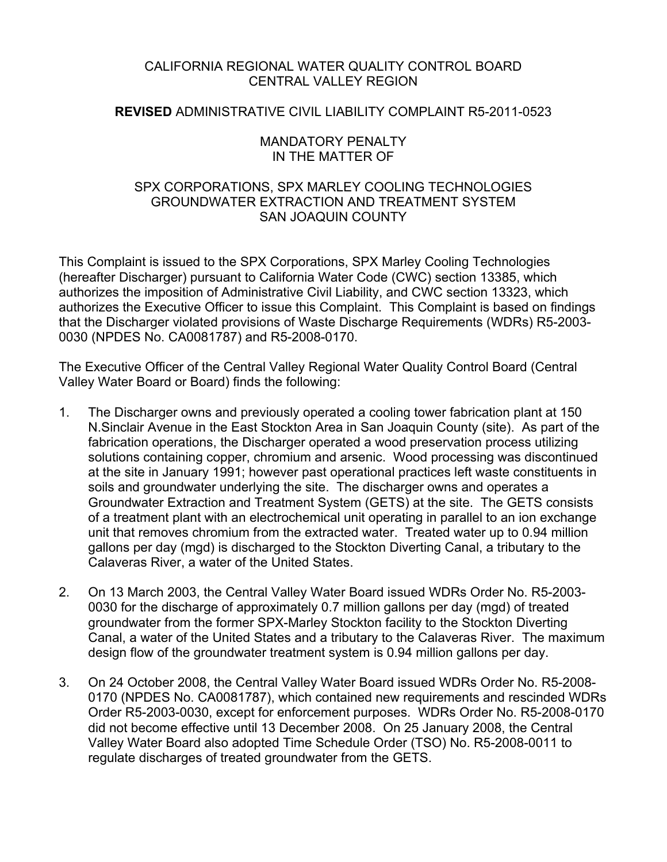# CALIFORNIA REGIONAL WATER QUALITY CONTROL BOARD CENTRAL VALLEY REGION

# **REVISED** ADMINISTRATIVE CIVIL LIABILITY COMPLAINT R5-2011-0523

### MANDATORY PENALTY IN THE MATTER OF

## SPX CORPORATIONS, SPX MARLEY COOLING TECHNOLOGIES GROUNDWATER EXTRACTION AND TREATMENT SYSTEM SAN JOAQUIN COUNTY

This Complaint is issued to the SPX Corporations, SPX Marley Cooling Technologies (hereafter Discharger) pursuant to California Water Code (CWC) section 13385, which authorizes the imposition of Administrative Civil Liability, and CWC section 13323, which authorizes the Executive Officer to issue this Complaint. This Complaint is based on findings that the Discharger violated provisions of Waste Discharge Requirements (WDRs) R5-2003- 0030 (NPDES No. CA0081787) and R5-2008-0170.

The Executive Officer of the Central Valley Regional Water Quality Control Board (Central Valley Water Board or Board) finds the following:

- 1. The Discharger owns and previously operated a cooling tower fabrication plant at 150 N.Sinclair Avenue in the East Stockton Area in San Joaquin County (site). As part of the fabrication operations, the Discharger operated a wood preservation process utilizing solutions containing copper, chromium and arsenic. Wood processing was discontinued at the site in January 1991; however past operational practices left waste constituents in soils and groundwater underlying the site. The discharger owns and operates a Groundwater Extraction and Treatment System (GETS) at the site. The GETS consists of a treatment plant with an electrochemical unit operating in parallel to an ion exchange unit that removes chromium from the extracted water. Treated water up to 0.94 million gallons per day (mgd) is discharged to the Stockton Diverting Canal, a tributary to the Calaveras River, a water of the United States.
- 2. On 13 March 2003, the Central Valley Water Board issued WDRs Order No. R5-2003- 0030 for the discharge of approximately 0.7 million gallons per day (mgd) of treated groundwater from the former SPX-Marley Stockton facility to the Stockton Diverting Canal, a water of the United States and a tributary to the Calaveras River. The maximum design flow of the groundwater treatment system is 0.94 million gallons per day.
- 3. On 24 October 2008, the Central Valley Water Board issued WDRs Order No. R5-2008- 0170 (NPDES No. CA0081787), which contained new requirements and rescinded WDRs Order R5-2003-0030, except for enforcement purposes. WDRs Order No. R5-2008-0170 did not become effective until 13 December 2008. On 25 January 2008, the Central Valley Water Board also adopted Time Schedule Order (TSO) No. R5-2008-0011 to regulate discharges of treated groundwater from the GETS.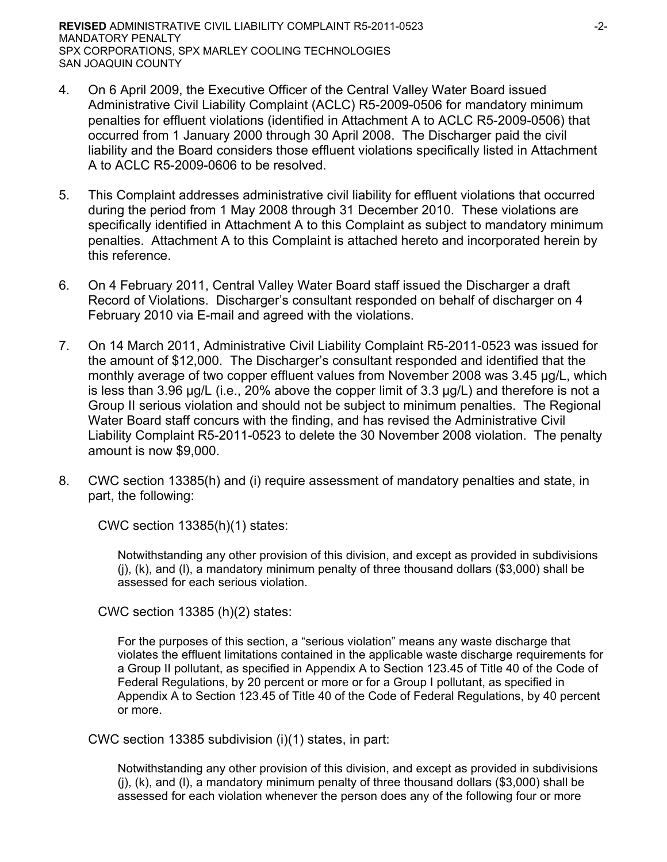- 4. On 6 April 2009, the Executive Officer of the Central Valley Water Board issued Administrative Civil Liability Complaint (ACLC) R5-2009-0506 for mandatory minimum penalties for effluent violations (identified in Attachment A to ACLC R5-2009-0506) that occurred from 1 January 2000 through 30 April 2008. The Discharger paid the civil liability and the Board considers those effluent violations specifically listed in Attachment A to ACLC R5-2009-0606 to be resolved.
- 5. This Complaint addresses administrative civil liability for effluent violations that occurred during the period from 1 May 2008 through 31 December 2010. These violations are specifically identified in Attachment A to this Complaint as subject to mandatory minimum penalties. Attachment A to this Complaint is attached hereto and incorporated herein by this reference.
- 6. On 4 February 2011, Central Valley Water Board staff issued the Discharger a draft Record of Violations. Discharger's consultant responded on behalf of discharger on 4 February 2010 via E-mail and agreed with the violations.
- 7. On 14 March 2011, Administrative Civil Liability Complaint R5-2011-0523 was issued for the amount of \$12,000. The Discharger's consultant responded and identified that the monthly average of two copper effluent values from November 2008 was 3.45 μg/L, which is less than 3.96 μg/L (i.e., 20% above the copper limit of 3.3 μg/L) and therefore is not a Group II serious violation and should not be subject to minimum penalties. The Regional Water Board staff concurs with the finding, and has revised the Administrative Civil Liability Complaint R5-2011-0523 to delete the 30 November 2008 violation. The penalty amount is now \$9,000.
- 8. CWC section 13385(h) and (i) require assessment of mandatory penalties and state, in part, the following:

CWC section 13385(h)(1) states:

Notwithstanding any other provision of this division, and except as provided in subdivisions (j), (k), and (l), a mandatory minimum penalty of three thousand dollars (\$3,000) shall be assessed for each serious violation.

CWC section 13385 (h)(2) states:

For the purposes of this section, a "serious violation" means any waste discharge that violates the effluent limitations contained in the applicable waste discharge requirements for a Group II pollutant, as specified in Appendix A to Section 123.45 of Title 40 of the Code of Federal Regulations, by 20 percent or more or for a Group I pollutant, as specified in Appendix A to Section 123.45 of Title 40 of the Code of Federal Regulations, by 40 percent or more.

CWC section 13385 subdivision (i)(1) states, in part:

Notwithstanding any other provision of this division, and except as provided in subdivisions (j), (k), and (l), a mandatory minimum penalty of three thousand dollars (\$3,000) shall be assessed for each violation whenever the person does any of the following four or more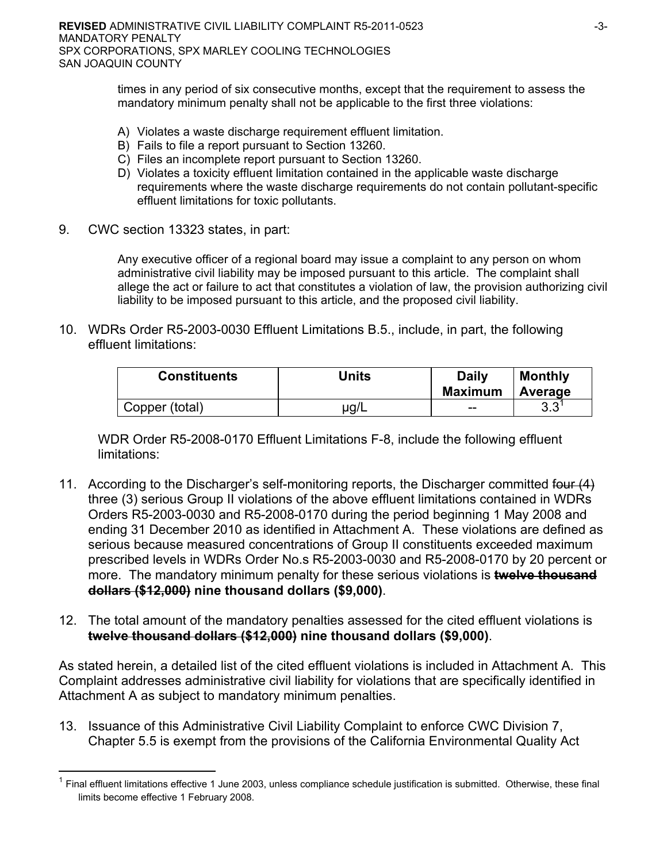times in any period of six consecutive months, except that the requirement to assess the mandatory minimum penalty shall not be applicable to the first three violations:

- A) Violates a waste discharge requirement effluent limitation.
- B) Fails to file a report pursuant to Section 13260.
- C) Files an incomplete report pursuant to Section 13260.
- D) Violates a toxicity effluent limitation contained in the applicable waste discharge requirements where the waste discharge requirements do not contain pollutant-specific effluent limitations for toxic pollutants.
- 9. CWC section 13323 states, in part:

<u>.</u>

Any executive officer of a regional board may issue a complaint to any person on whom administrative civil liability may be imposed pursuant to this article. The complaint shall allege the act or failure to act that constitutes a violation of law, the provision authorizing civil liability to be imposed pursuant to this article, and the proposed civil liability.

10. WDRs Order R5-2003-0030 Effluent Limitations B.5., include, in part, the following effluent limitations:

| <b>Constituents</b> | Units | <b>Daily</b><br><b>Maximum</b> | <b>Monthly</b><br>Average |
|---------------------|-------|--------------------------------|---------------------------|
| Copper (total)      | µg/L  | --                             | ററ<br>ა.ა                 |

 WDR Order R5-2008-0170 Effluent Limitations F-8, include the following effluent limitations:

- 11. According to the Discharger's self-monitoring reports, the Discharger committed four (4) three (3) serious Group II violations of the above effluent limitations contained in WDRs Orders R5-2003-0030 and R5-2008-0170 during the period beginning 1 May 2008 and ending 31 December 2010 as identified in Attachment A. These violations are defined as serious because measured concentrations of Group II constituents exceeded maximum prescribed levels in WDRs Order No.s R5-2003-0030 and R5-2008-0170 by 20 percent or more. The mandatory minimum penalty for these serious violations is **twelve thousand dollars (\$12,000) nine thousand dollars (\$9,000)**.
- 12. The total amount of the mandatory penalties assessed for the cited effluent violations is **twelve thousand dollars (\$12,000) nine thousand dollars (\$9,000)**.

As stated herein, a detailed list of the cited effluent violations is included in Attachment A. This Complaint addresses administrative civil liability for violations that are specifically identified in Attachment A as subject to mandatory minimum penalties.

13. Issuance of this Administrative Civil Liability Complaint to enforce CWC Division 7, Chapter 5.5 is exempt from the provisions of the California Environmental Quality Act

<sup>1</sup> Final effluent limitations effective 1 June 2003, unless compliance schedule justification is submitted. Otherwise, these final limits become effective 1 February 2008.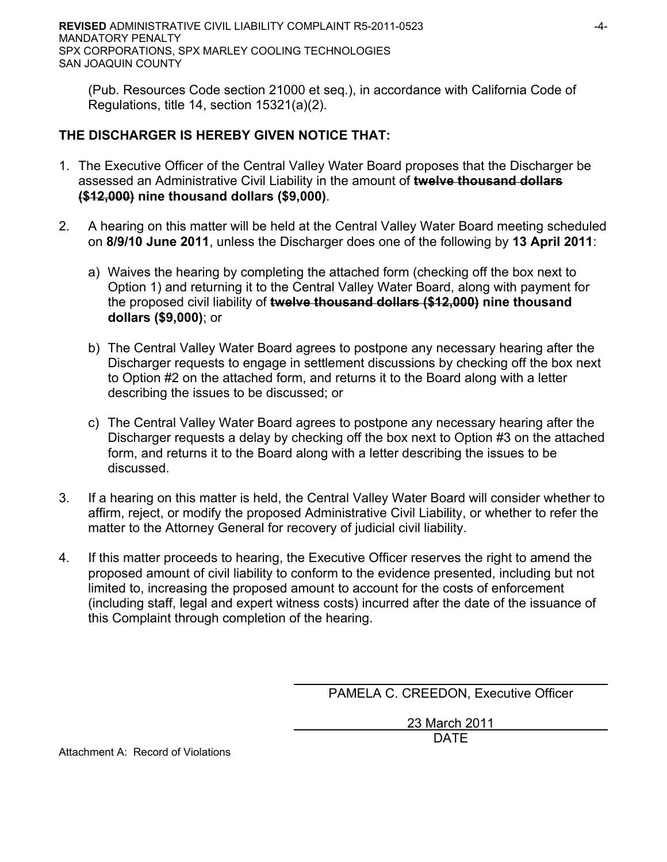(Pub. Resources Code section 21000 et seq.), in accordance with California Code of Regulations, title 14, section 15321(a)(2).

# **THE DISCHARGER IS HEREBY GIVEN NOTICE THAT:**

- 1. The Executive Officer of the Central Valley Water Board proposes that the Discharger be assessed an Administrative Civil Liability in the amount of **twelve thousand dollars (\$12,000) nine thousand dollars (\$9,000)**.
- 2. A hearing on this matter will be held at the Central Valley Water Board meeting scheduled on **8/9/10 June 2011**, unless the Discharger does one of the following by **13 April 2011**:
	- a) Waives the hearing by completing the attached form (checking off the box next to Option 1) and returning it to the Central Valley Water Board, along with payment for the proposed civil liability of **twelve thousand dollars (\$12,000) nine thousand dollars (\$9,000)**; or
	- b) The Central Valley Water Board agrees to postpone any necessary hearing after the Discharger requests to engage in settlement discussions by checking off the box next to Option #2 on the attached form, and returns it to the Board along with a letter describing the issues to be discussed; or
	- c) The Central Valley Water Board agrees to postpone any necessary hearing after the Discharger requests a delay by checking off the box next to Option #3 on the attached form, and returns it to the Board along with a letter describing the issues to be discussed.
- 3. If a hearing on this matter is held, the Central Valley Water Board will consider whether to affirm, reject, or modify the proposed Administrative Civil Liability, or whether to refer the matter to the Attorney General for recovery of judicial civil liability.
- 4. If this matter proceeds to hearing, the Executive Officer reserves the right to amend the proposed amount of civil liability to conform to the evidence presented, including but not limited to, increasing the proposed amount to account for the costs of enforcement (including staff, legal and expert witness costs) incurred after the date of the issuance of this Complaint through completion of the hearing.

PAMELA C. CREEDON, Executive Officer

 23 March 2011 DATE

Attachment A: Record of Violations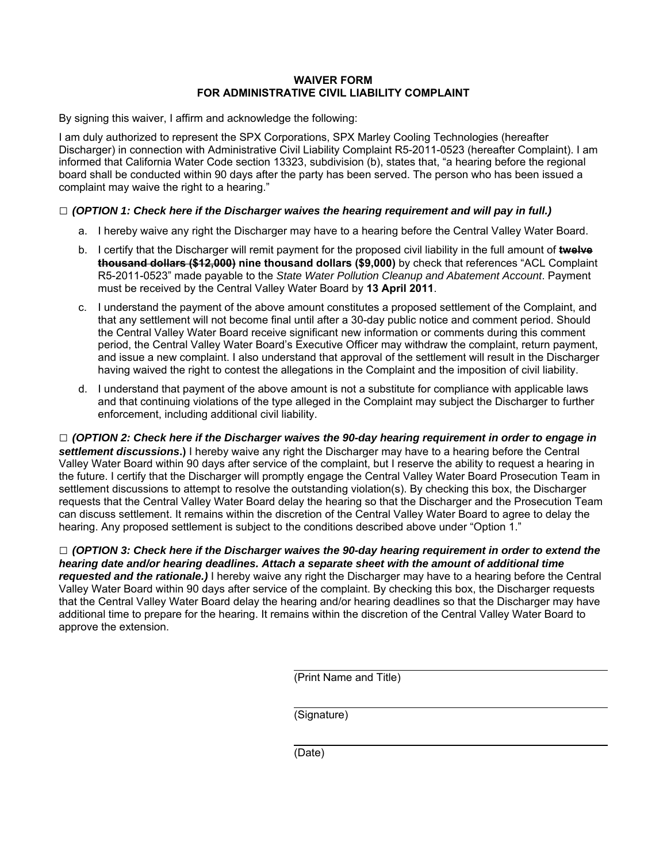#### **WAIVER FORM FOR ADMINISTRATIVE CIVIL LIABILITY COMPLAINT**

By signing this waiver, I affirm and acknowledge the following:

I am duly authorized to represent the SPX Corporations, SPX Marley Cooling Technologies (hereafter Discharger) in connection with Administrative Civil Liability Complaint R5-2011-0523 (hereafter Complaint). I am informed that California Water Code section 13323, subdivision (b), states that, "a hearing before the regional board shall be conducted within 90 days after the party has been served. The person who has been issued a complaint may waive the right to a hearing."

#### **□** *(OPTION 1: Check here if the Discharger waives the hearing requirement and will pay in full.)*

- a. I hereby waive any right the Discharger may have to a hearing before the Central Valley Water Board.
- b. I certify that the Discharger will remit payment for the proposed civil liability in the full amount of **twelve thousand dollars (\$12,000) nine thousand dollars (\$9,000)** by check that references "ACL Complaint R5-2011-0523" made payable to the *State Water Pollution Cleanup and Abatement Account*. Payment must be received by the Central Valley Water Board by **13 April 2011**.
- c. I understand the payment of the above amount constitutes a proposed settlement of the Complaint, and that any settlement will not become final until after a 30-day public notice and comment period. Should the Central Valley Water Board receive significant new information or comments during this comment period, the Central Valley Water Board's Executive Officer may withdraw the complaint, return payment, and issue a new complaint. I also understand that approval of the settlement will result in the Discharger having waived the right to contest the allegations in the Complaint and the imposition of civil liability.
- d. I understand that payment of the above amount is not a substitute for compliance with applicable laws and that continuing violations of the type alleged in the Complaint may subject the Discharger to further enforcement, including additional civil liability.

**□** *(OPTION 2: Check here if the Discharger waives the 90-day hearing requirement in order to engage in settlement discussions***.)** I hereby waive any right the Discharger may have to a hearing before the Central Valley Water Board within 90 days after service of the complaint, but I reserve the ability to request a hearing in the future. I certify that the Discharger will promptly engage the Central Valley Water Board Prosecution Team in settlement discussions to attempt to resolve the outstanding violation(s). By checking this box, the Discharger requests that the Central Valley Water Board delay the hearing so that the Discharger and the Prosecution Team can discuss settlement. It remains within the discretion of the Central Valley Water Board to agree to delay the hearing. Any proposed settlement is subject to the conditions described above under "Option 1."

**□** *(OPTION 3: Check here if the Discharger waives the 90-day hearing requirement in order to extend the hearing date and/or hearing deadlines. Attach a separate sheet with the amount of additional time requested and the rationale.)* I hereby waive any right the Discharger may have to a hearing before the Central Valley Water Board within 90 days after service of the complaint. By checking this box, the Discharger requests that the Central Valley Water Board delay the hearing and/or hearing deadlines so that the Discharger may have additional time to prepare for the hearing. It remains within the discretion of the Central Valley Water Board to approve the extension.

(Print Name and Title)

(Signature)

(Date)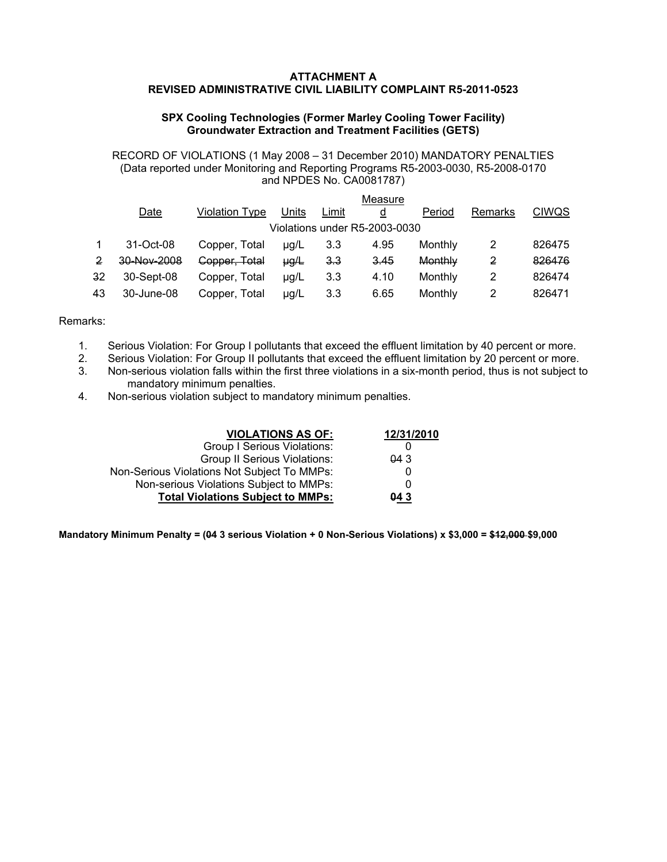#### **ATTACHMENT A REVISED ADMINISTRATIVE CIVIL LIABILITY COMPLAINT R5-2011-0523**

#### **SPX Cooling Technologies (Former Marley Cooling Tower Facility) Groundwater Extraction and Treatment Facilities (GETS)**

RECORD OF VIOLATIONS (1 May 2008 – 31 December 2010) MANDATORY PENALTIES (Data reported under Monitoring and Reporting Programs R5-2003-0030, R5-2008-0170 and NPDES No. CA0081787)

|    |             |                |           |                | Measure                       |         |         |              |
|----|-------------|----------------|-----------|----------------|-------------------------------|---------|---------|--------------|
|    | Date        | Violation Type | Units     | Limit          | d                             | Period  | Remarks | <b>CIWQS</b> |
|    |             |                |           |                | Violations under R5-2003-0030 |         |         |              |
|    | 31-Oct-08   | Copper, Total  | $\mu q/L$ | 3.3            | 4.95                          | Monthly |         | 826475       |
| 2  | 30-Nov-2008 | Copper, Total  | $\mu g/L$ | <del>3.3</del> | 3.45                          | Monthly | 2       | 826476       |
| 32 | 30-Sept-08  | Copper, Total  | µg/L      | 3.3            | 4.10                          | Monthly |         | 826474       |
| 43 | 30-June-08  | Copper, Total  | µg/L      | 3.3            | 6.65                          | Monthly |         | 826471       |

#### Remarks:

- 1. Serious Violation: For Group I pollutants that exceed the effluent limitation by 40 percent or more.
- 2. Serious Violation: For Group II pollutants that exceed the effluent limitation by 20 percent or more.
- 3. Non-serious violation falls within the first three violations in a six-month period, thus is not subject to mandatory minimum penalties.
- 4. Non-serious violation subject to mandatory minimum penalties.

| <b>VIOLATIONS AS OF:</b>                    | 12/31/2010 |
|---------------------------------------------|------------|
| <b>Group I Serious Violations:</b>          |            |
| <b>Group II Serious Violations:</b>         | 043        |
| Non-Serious Violations Not Subject To MMPs: |            |
| Non-serious Violations Subject to MMPs:     |            |
| <b>Total Violations Subject to MMPs:</b>    | 043        |

**Mandatory Minimum Penalty = (04 3 serious Violation + 0 Non-Serious Violations) x \$3,000 = \$12,000 \$9,000**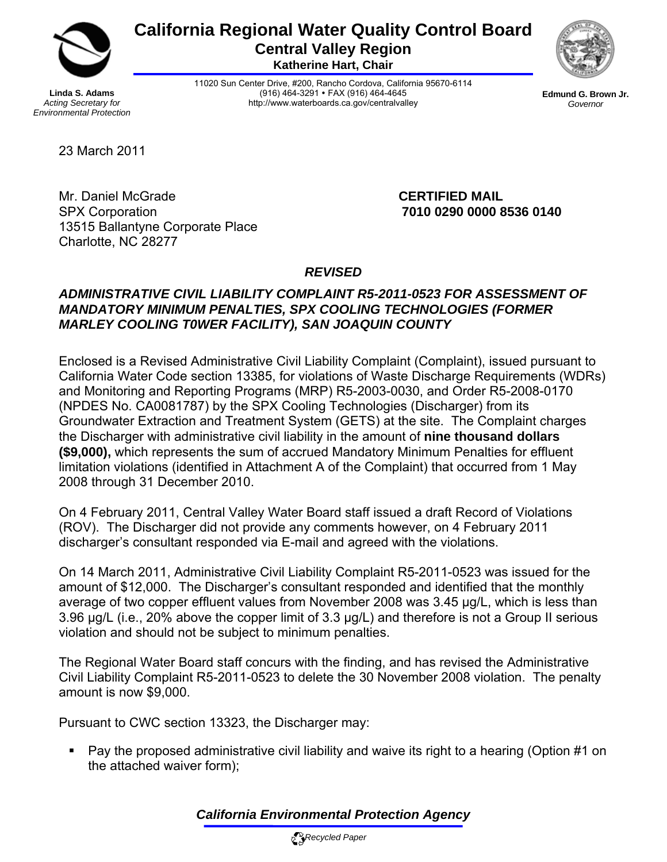

# **California Regional Water Quality Control Board Central Valley Region**

**Katherine Hart, Chair** 



**Linda S. Adams**  *Acting Secretary for Environmental Protection*  11020 Sun Center Drive, #200, Rancho Cordova, California 95670-6114 (916) 464-3291 • FAX (916) 464-4645 http://www.waterboards.ca.gov/centralvalley

**Edmund G. Brown Jr.** *Governor* 

23 March 2011

Mr. Daniel McGrade **CERTIFIED MAIL**  SPX Corporation **7010 0290 0000 8536 0140**  13515 Ballantyne Corporate Place Charlotte, NC 28277

# *REVISED*

# *ADMINISTRATIVE CIVIL LIABILITY COMPLAINT R5-2011-0523 FOR ASSESSMENT OF MANDATORY MINIMUM PENALTIES, SPX COOLING TECHNOLOGIES (FORMER MARLEY COOLING T0WER FACILITY), SAN JOAQUIN COUNTY*

Enclosed is a Revised Administrative Civil Liability Complaint (Complaint), issued pursuant to California Water Code section 13385, for violations of Waste Discharge Requirements (WDRs) and Monitoring and Reporting Programs (MRP) R5-2003-0030, and Order R5-2008-0170 (NPDES No. CA0081787) by the SPX Cooling Technologies (Discharger) from its Groundwater Extraction and Treatment System (GETS) at the site. The Complaint charges the Discharger with administrative civil liability in the amount of **nine thousand dollars (\$9,000),** which represents the sum of accrued Mandatory Minimum Penalties for effluent limitation violations (identified in Attachment A of the Complaint) that occurred from 1 May 2008 through 31 December 2010.

On 4 February 2011, Central Valley Water Board staff issued a draft Record of Violations (ROV). The Discharger did not provide any comments however, on 4 February 2011 discharger's consultant responded via E-mail and agreed with the violations.

On 14 March 2011, Administrative Civil Liability Complaint R5-2011-0523 was issued for the amount of \$12,000. The Discharger's consultant responded and identified that the monthly average of two copper effluent values from November 2008 was 3.45 μg/L, which is less than 3.96 μg/L (i.e., 20% above the copper limit of 3.3 μg/L) and therefore is not a Group II serious violation and should not be subject to minimum penalties.

The Regional Water Board staff concurs with the finding, and has revised the Administrative Civil Liability Complaint R5-2011-0523 to delete the 30 November 2008 violation. The penalty amount is now \$9,000.

Pursuant to CWC section 13323, the Discharger may:

 Pay the proposed administrative civil liability and waive its right to a hearing (Option #1 on the attached waiver form);

*California Environmental Protection Agency*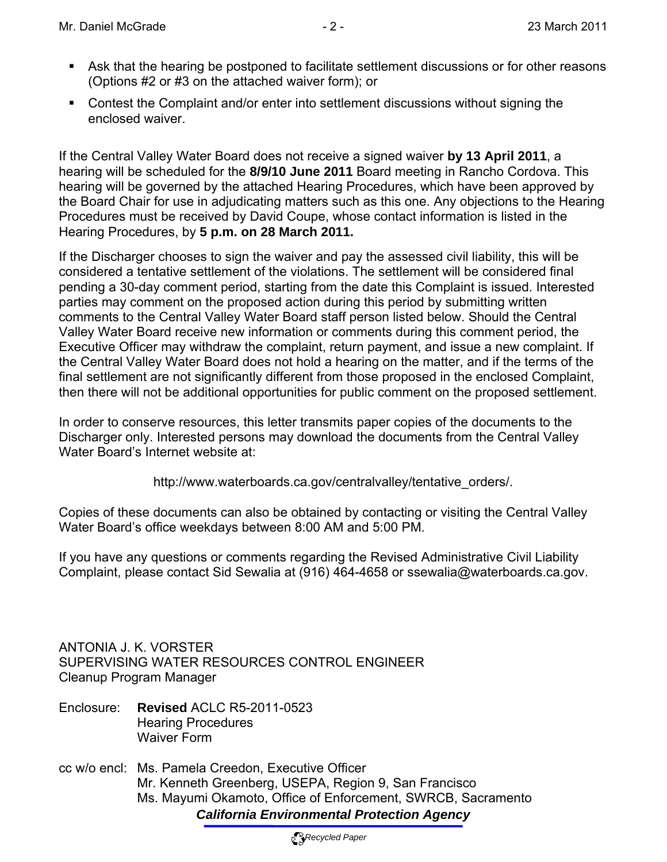- Ask that the hearing be postponed to facilitate settlement discussions or for other reasons (Options #2 or #3 on the attached waiver form); or
- Contest the Complaint and/or enter into settlement discussions without signing the enclosed waiver.

If the Central Valley Water Board does not receive a signed waiver **by 13 April 2011**, a hearing will be scheduled for the **8/9/10 June 2011** Board meeting in Rancho Cordova. This hearing will be governed by the attached Hearing Procedures, which have been approved by the Board Chair for use in adjudicating matters such as this one. Any objections to the Hearing Procedures must be received by David Coupe, whose contact information is listed in the Hearing Procedures, by **5 p.m. on 28 March 2011.** 

If the Discharger chooses to sign the waiver and pay the assessed civil liability, this will be considered a tentative settlement of the violations. The settlement will be considered final pending a 30-day comment period, starting from the date this Complaint is issued. Interested parties may comment on the proposed action during this period by submitting written comments to the Central Valley Water Board staff person listed below. Should the Central Valley Water Board receive new information or comments during this comment period, the Executive Officer may withdraw the complaint, return payment, and issue a new complaint. If the Central Valley Water Board does not hold a hearing on the matter, and if the terms of the final settlement are not significantly different from those proposed in the enclosed Complaint, then there will not be additional opportunities for public comment on the proposed settlement.

In order to conserve resources, this letter transmits paper copies of the documents to the Discharger only. Interested persons may download the documents from the Central Valley Water Board's Internet website at:

http://www.waterboards.ca.gov/centralvalley/tentative\_orders/.

Copies of these documents can also be obtained by contacting or visiting the Central Valley Water Board's office weekdays between 8:00 AM and 5:00 PM.

If you have any questions or comments regarding the Revised Administrative Civil Liability Complaint, please contact Sid Sewalia at (916) 464-4658 or ssewalia@waterboards.ca.gov.

ANTONIA J. K. VORSTER SUPERVISING WATER RESOURCES CONTROL ENGINEER Cleanup Program Manager

- Enclosure: **Revised** ACLC R5-2011-0523 Hearing Procedures Waiver Form
- *California Environmental Protection Agency* cc w/o encl: Ms. Pamela Creedon, Executive Officer Mr. Kenneth Greenberg, USEPA, Region 9, San Francisco Ms. Mayumi Okamoto, Office of Enforcement, SWRCB, Sacramento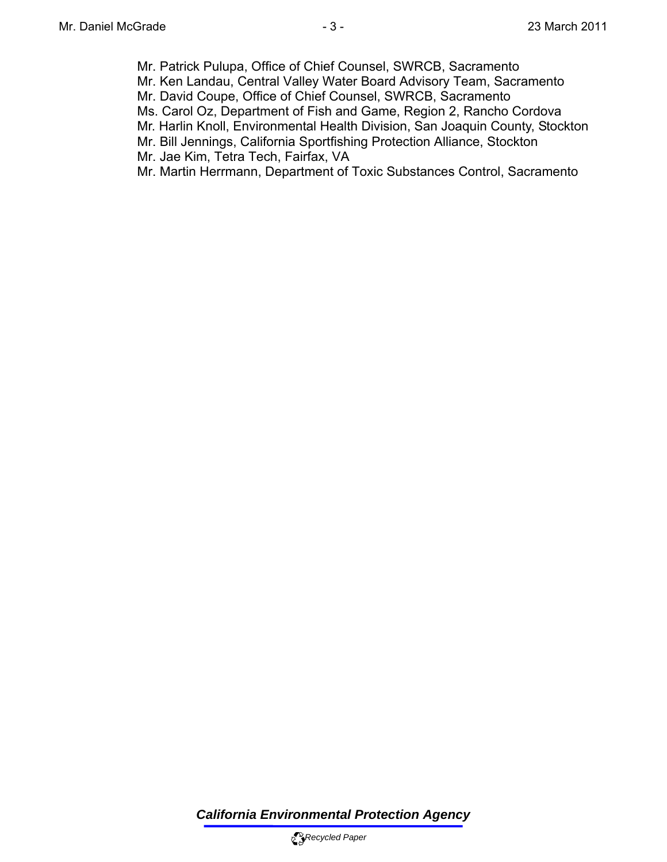- Mr. Patrick Pulupa, Office of Chief Counsel, SWRCB, Sacramento
- Mr. Ken Landau, Central Valley Water Board Advisory Team, Sacramento
- Mr. David Coupe, Office of Chief Counsel, SWRCB, Sacramento
- Ms. Carol Oz, Department of Fish and Game, Region 2, Rancho Cordova
- Mr. Harlin Knoll, Environmental Health Division, San Joaquin County, Stockton
- Mr. Bill Jennings, California Sportfishing Protection Alliance, Stockton
- Mr. Jae Kim, Tetra Tech, Fairfax, VA
- Mr. Martin Herrmann, Department of Toxic Substances Control, Sacramento

*California Environmental Protection Agency*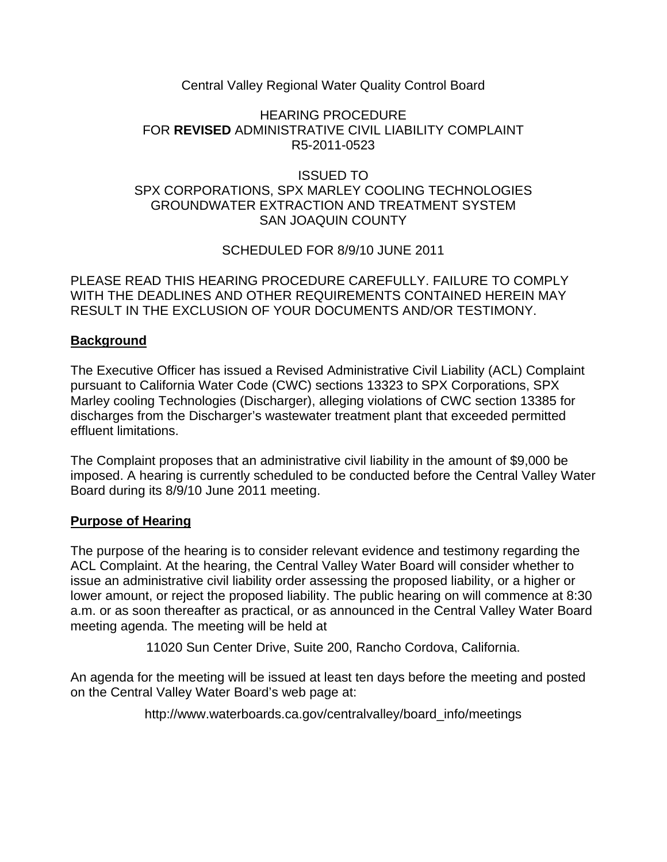# Central Valley Regional Water Quality Control Board

## HEARING PROCEDURE FOR **REVISED** ADMINISTRATIVE CIVIL LIABILITY COMPLAINT R5-2011-0523

# ISSUED TO SPX CORPORATIONS, SPX MARLEY COOLING TECHNOLOGIES GROUNDWATER EXTRACTION AND TREATMENT SYSTEM SAN JOAQUIN COUNTY

SCHEDULED FOR 8/9/10 JUNE 2011

PLEASE READ THIS HEARING PROCEDURE CAREFULLY. FAILURE TO COMPLY WITH THE DEADLINES AND OTHER REQUIREMENTS CONTAINED HEREIN MAY RESULT IN THE EXCLUSION OF YOUR DOCUMENTS AND/OR TESTIMONY.

# **Background**

The Executive Officer has issued a Revised Administrative Civil Liability (ACL) Complaint pursuant to California Water Code (CWC) sections 13323 to SPX Corporations, SPX Marley cooling Technologies (Discharger), alleging violations of CWC section 13385 for discharges from the Discharger's wastewater treatment plant that exceeded permitted effluent limitations.

The Complaint proposes that an administrative civil liability in the amount of \$9,000 be imposed. A hearing is currently scheduled to be conducted before the Central Valley Water Board during its 8/9/10 June 2011 meeting.

# **Purpose of Hearing**

The purpose of the hearing is to consider relevant evidence and testimony regarding the ACL Complaint. At the hearing, the Central Valley Water Board will consider whether to issue an administrative civil liability order assessing the proposed liability, or a higher or lower amount, or reject the proposed liability. The public hearing on will commence at 8:30 a.m. or as soon thereafter as practical, or as announced in the Central Valley Water Board meeting agenda. The meeting will be held at

11020 Sun Center Drive, Suite 200, Rancho Cordova, California.

An agenda for the meeting will be issued at least ten days before the meeting and posted on the Central Valley Water Board's web page at:

http://www.waterboards.ca.gov/centralvalley/board\_info/meetings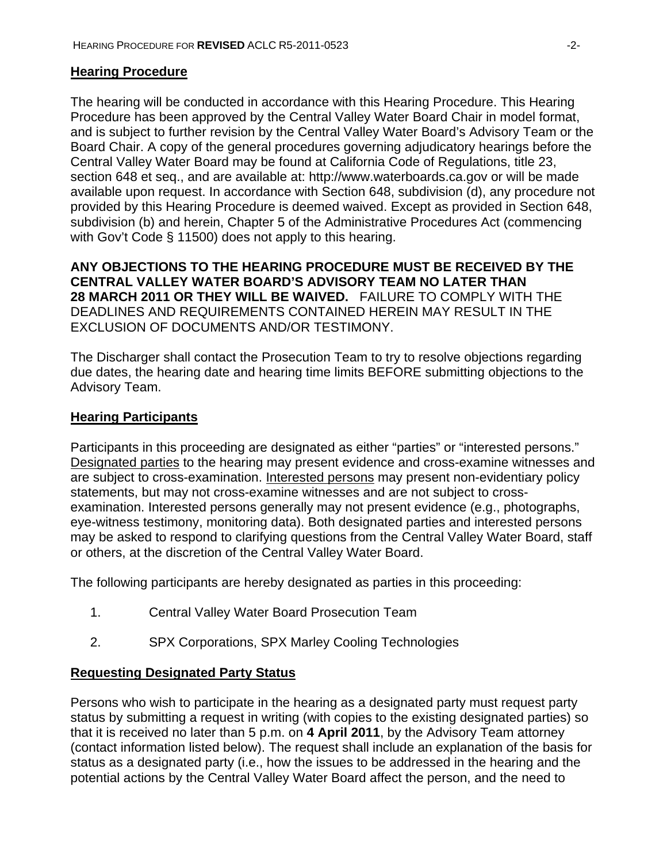#### **Hearing Procedure**

The hearing will be conducted in accordance with this Hearing Procedure. This Hearing Procedure has been approved by the Central Valley Water Board Chair in model format, and is subject to further revision by the Central Valley Water Board's Advisory Team or the Board Chair. A copy of the general procedures governing adjudicatory hearings before the Central Valley Water Board may be found at California Code of Regulations, title 23, section 648 et seq., and are available at: http://www.waterboards.ca.gov or will be made available upon request. In accordance with Section 648, subdivision (d), any procedure not provided by this Hearing Procedure is deemed waived. Except as provided in Section 648, subdivision (b) and herein, Chapter 5 of the Administrative Procedures Act (commencing with Gov't Code § 11500) does not apply to this hearing.

**ANY OBJECTIONS TO THE HEARING PROCEDURE MUST BE RECEIVED BY THE CENTRAL VALLEY WATER BOARD'S ADVISORY TEAM NO LATER THAN 28 MARCH 2011 OR THEY WILL BE WAIVED.** FAILURE TO COMPLY WITH THE DEADLINES AND REQUIREMENTS CONTAINED HEREIN MAY RESULT IN THE EXCLUSION OF DOCUMENTS AND/OR TESTIMONY.

The Discharger shall contact the Prosecution Team to try to resolve objections regarding due dates, the hearing date and hearing time limits BEFORE submitting objections to the Advisory Team.

#### **Hearing Participants**

Participants in this proceeding are designated as either "parties" or "interested persons." Designated parties to the hearing may present evidence and cross-examine witnesses and are subject to cross-examination. Interested persons may present non-evidentiary policy statements, but may not cross-examine witnesses and are not subject to crossexamination. Interested persons generally may not present evidence (e.g., photographs, eye-witness testimony, monitoring data). Both designated parties and interested persons may be asked to respond to clarifying questions from the Central Valley Water Board, staff or others, at the discretion of the Central Valley Water Board.

The following participants are hereby designated as parties in this proceeding:

- 1. Central Valley Water Board Prosecution Team
- 2. SPX Corporations, SPX Marley Cooling Technologies

#### **Requesting Designated Party Status**

Persons who wish to participate in the hearing as a designated party must request party status by submitting a request in writing (with copies to the existing designated parties) so that it is received no later than 5 p.m. on **4 April 2011**, by the Advisory Team attorney (contact information listed below). The request shall include an explanation of the basis for status as a designated party (i.e., how the issues to be addressed in the hearing and the potential actions by the Central Valley Water Board affect the person, and the need to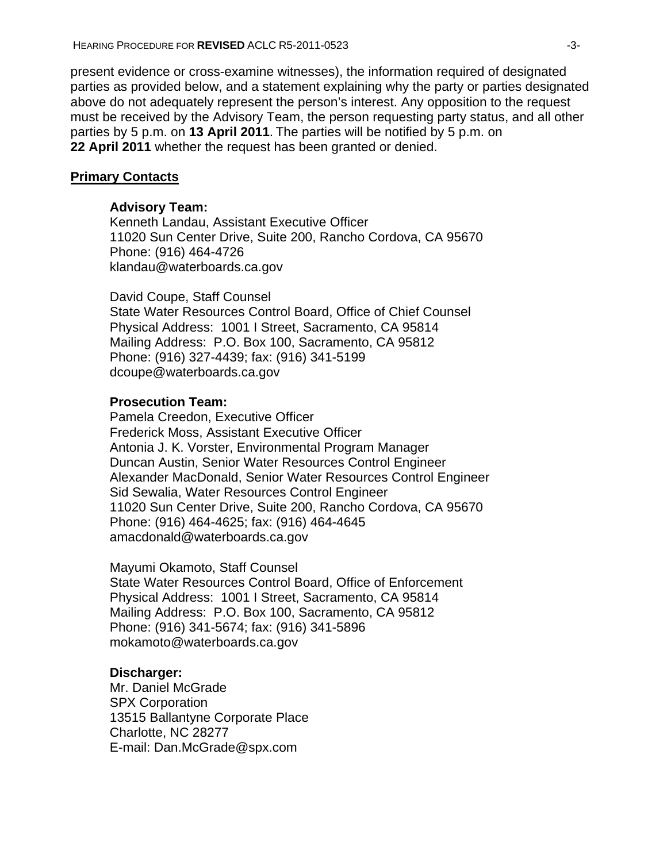present evidence or cross-examine witnesses), the information required of designated parties as provided below, and a statement explaining why the party or parties designated above do not adequately represent the person's interest. Any opposition to the request must be received by the Advisory Team, the person requesting party status, and all other parties by 5 p.m. on **13 April 2011**. The parties will be notified by 5 p.m. on **22 April 2011** whether the request has been granted or denied.

#### **Primary Contacts**

#### **Advisory Team:**

Kenneth Landau, Assistant Executive Officer 11020 Sun Center Drive, Suite 200, Rancho Cordova, CA 95670 Phone: (916) 464-4726 klandau@waterboards.ca.gov

David Coupe, Staff Counsel State Water Resources Control Board, Office of Chief Counsel Physical Address: 1001 I Street, Sacramento, CA 95814 Mailing Address: P.O. Box 100, Sacramento, CA 95812 Phone: (916) 327-4439; fax: (916) 341-5199 dcoupe@waterboards.ca.gov

#### **Prosecution Team:**

Pamela Creedon, Executive Officer Frederick Moss, Assistant Executive Officer Antonia J. K. Vorster, Environmental Program Manager Duncan Austin, Senior Water Resources Control Engineer Alexander MacDonald, Senior Water Resources Control Engineer Sid Sewalia, Water Resources Control Engineer 11020 Sun Center Drive, Suite 200, Rancho Cordova, CA 95670 Phone: (916) 464-4625; fax: (916) 464-4645 amacdonald@waterboards.ca.gov

Mayumi Okamoto, Staff Counsel State Water Resources Control Board, Office of Enforcement Physical Address: 1001 I Street, Sacramento, CA 95814 Mailing Address: P.O. Box 100, Sacramento, CA 95812 Phone: (916) 341-5674; fax: (916) 341-5896 mokamoto@waterboards.ca.gov

#### **Discharger:**

Mr. Daniel McGrade SPX Corporation 13515 Ballantyne Corporate Place Charlotte, NC 28277 E-mail: Dan.McGrade@spx.com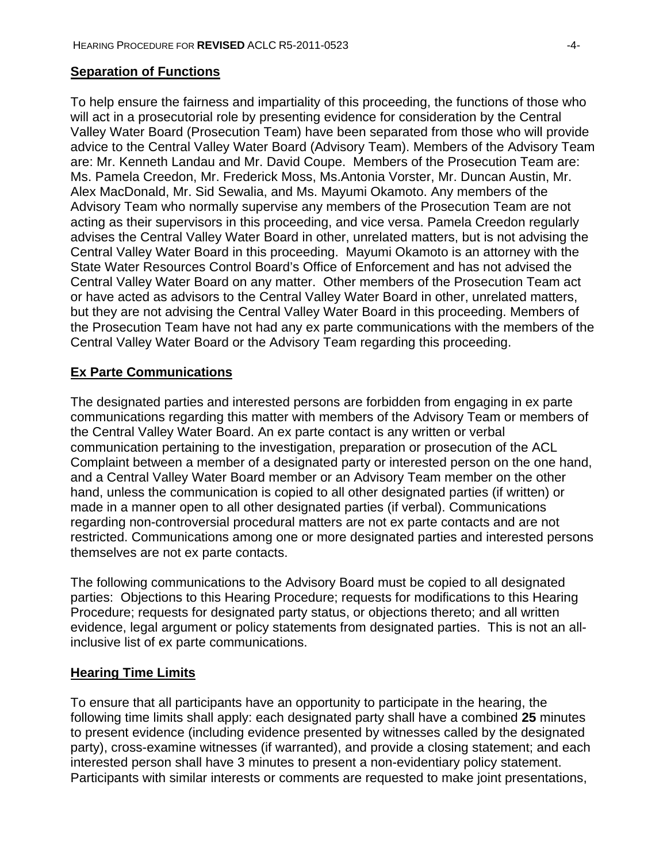#### **Separation of Functions**

To help ensure the fairness and impartiality of this proceeding, the functions of those who will act in a prosecutorial role by presenting evidence for consideration by the Central Valley Water Board (Prosecution Team) have been separated from those who will provide advice to the Central Valley Water Board (Advisory Team). Members of the Advisory Team are: Mr. Kenneth Landau and Mr. David Coupe. Members of the Prosecution Team are: Ms. Pamela Creedon, Mr. Frederick Moss, Ms.Antonia Vorster, Mr. Duncan Austin, Mr. Alex MacDonald, Mr. Sid Sewalia, and Ms. Mayumi Okamoto. Any members of the Advisory Team who normally supervise any members of the Prosecution Team are not acting as their supervisors in this proceeding, and vice versa. Pamela Creedon regularly advises the Central Valley Water Board in other, unrelated matters, but is not advising the Central Valley Water Board in this proceeding. Mayumi Okamoto is an attorney with the State Water Resources Control Board's Office of Enforcement and has not advised the Central Valley Water Board on any matter. Other members of the Prosecution Team act or have acted as advisors to the Central Valley Water Board in other, unrelated matters, but they are not advising the Central Valley Water Board in this proceeding. Members of the Prosecution Team have not had any ex parte communications with the members of the Central Valley Water Board or the Advisory Team regarding this proceeding.

## **Ex Parte Communications**

The designated parties and interested persons are forbidden from engaging in ex parte communications regarding this matter with members of the Advisory Team or members of the Central Valley Water Board. An ex parte contact is any written or verbal communication pertaining to the investigation, preparation or prosecution of the ACL Complaint between a member of a designated party or interested person on the one hand, and a Central Valley Water Board member or an Advisory Team member on the other hand, unless the communication is copied to all other designated parties (if written) or made in a manner open to all other designated parties (if verbal). Communications regarding non-controversial procedural matters are not ex parte contacts and are not restricted. Communications among one or more designated parties and interested persons themselves are not ex parte contacts.

The following communications to the Advisory Board must be copied to all designated parties: Objections to this Hearing Procedure; requests for modifications to this Hearing Procedure; requests for designated party status, or objections thereto; and all written evidence, legal argument or policy statements from designated parties. This is not an allinclusive list of ex parte communications.

#### **Hearing Time Limits**

To ensure that all participants have an opportunity to participate in the hearing, the following time limits shall apply: each designated party shall have a combined **25** minutes to present evidence (including evidence presented by witnesses called by the designated party), cross-examine witnesses (if warranted), and provide a closing statement; and each interested person shall have 3 minutes to present a non-evidentiary policy statement. Participants with similar interests or comments are requested to make joint presentations,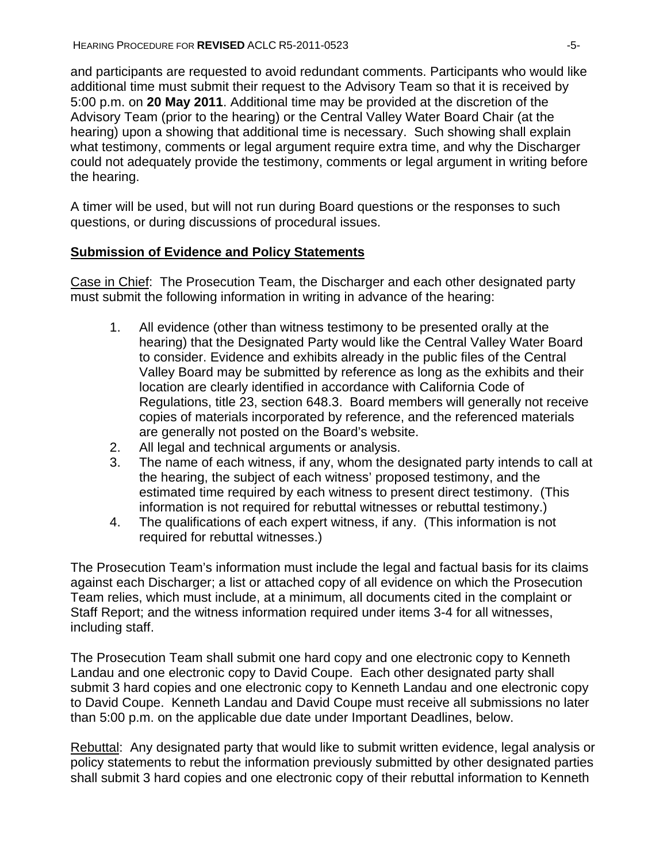and participants are requested to avoid redundant comments. Participants who would like additional time must submit their request to the Advisory Team so that it is received by 5:00 p.m. on **20 May 2011**. Additional time may be provided at the discretion of the Advisory Team (prior to the hearing) or the Central Valley Water Board Chair (at the hearing) upon a showing that additional time is necessary. Such showing shall explain what testimony, comments or legal argument require extra time, and why the Discharger could not adequately provide the testimony, comments or legal argument in writing before the hearing.

A timer will be used, but will not run during Board questions or the responses to such questions, or during discussions of procedural issues.

## **Submission of Evidence and Policy Statements**

Case in Chief: The Prosecution Team, the Discharger and each other designated party must submit the following information in writing in advance of the hearing:

- 1. All evidence (other than witness testimony to be presented orally at the hearing) that the Designated Party would like the Central Valley Water Board to consider. Evidence and exhibits already in the public files of the Central Valley Board may be submitted by reference as long as the exhibits and their location are clearly identified in accordance with California Code of Regulations, title 23, section 648.3. Board members will generally not receive copies of materials incorporated by reference, and the referenced materials are generally not posted on the Board's website.
- 2. All legal and technical arguments or analysis.
- 3. The name of each witness, if any, whom the designated party intends to call at the hearing, the subject of each witness' proposed testimony, and the estimated time required by each witness to present direct testimony. (This information is not required for rebuttal witnesses or rebuttal testimony.)
- 4. The qualifications of each expert witness, if any. (This information is not required for rebuttal witnesses.)

The Prosecution Team's information must include the legal and factual basis for its claims against each Discharger; a list or attached copy of all evidence on which the Prosecution Team relies, which must include, at a minimum, all documents cited in the complaint or Staff Report; and the witness information required under items 3-4 for all witnesses, including staff.

The Prosecution Team shall submit one hard copy and one electronic copy to Kenneth Landau and one electronic copy to David Coupe. Each other designated party shall submit 3 hard copies and one electronic copy to Kenneth Landau and one electronic copy to David Coupe. Kenneth Landau and David Coupe must receive all submissions no later than 5:00 p.m. on the applicable due date under Important Deadlines, below.

Rebuttal: Any designated party that would like to submit written evidence, legal analysis or policy statements to rebut the information previously submitted by other designated parties shall submit 3 hard copies and one electronic copy of their rebuttal information to Kenneth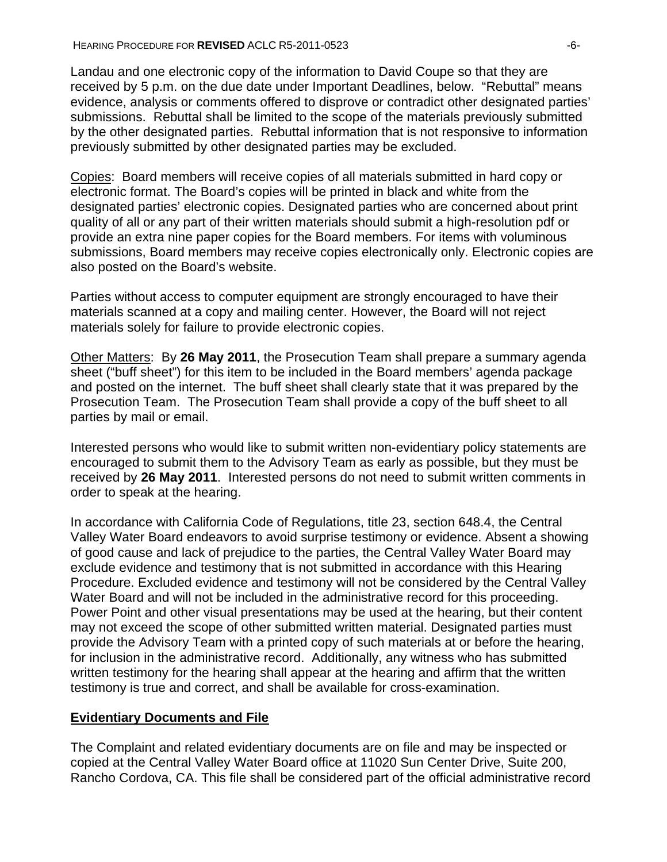Landau and one electronic copy of the information to David Coupe so that they are received by 5 p.m. on the due date under Important Deadlines, below. "Rebuttal" means evidence, analysis or comments offered to disprove or contradict other designated parties' submissions. Rebuttal shall be limited to the scope of the materials previously submitted by the other designated parties. Rebuttal information that is not responsive to information previously submitted by other designated parties may be excluded.

Copies: Board members will receive copies of all materials submitted in hard copy or electronic format. The Board's copies will be printed in black and white from the designated parties' electronic copies. Designated parties who are concerned about print quality of all or any part of their written materials should submit a high-resolution pdf or provide an extra nine paper copies for the Board members. For items with voluminous submissions, Board members may receive copies electronically only. Electronic copies are also posted on the Board's website.

Parties without access to computer equipment are strongly encouraged to have their materials scanned at a copy and mailing center. However, the Board will not reject materials solely for failure to provide electronic copies.

Other Matters: By **26 May 2011**, the Prosecution Team shall prepare a summary agenda sheet ("buff sheet") for this item to be included in the Board members' agenda package and posted on the internet. The buff sheet shall clearly state that it was prepared by the Prosecution Team. The Prosecution Team shall provide a copy of the buff sheet to all parties by mail or email.

Interested persons who would like to submit written non-evidentiary policy statements are encouraged to submit them to the Advisory Team as early as possible, but they must be received by **26 May 2011**. Interested persons do not need to submit written comments in order to speak at the hearing.

In accordance with California Code of Regulations, title 23, section 648.4, the Central Valley Water Board endeavors to avoid surprise testimony or evidence. Absent a showing of good cause and lack of prejudice to the parties, the Central Valley Water Board may exclude evidence and testimony that is not submitted in accordance with this Hearing Procedure. Excluded evidence and testimony will not be considered by the Central Valley Water Board and will not be included in the administrative record for this proceeding. Power Point and other visual presentations may be used at the hearing, but their content may not exceed the scope of other submitted written material. Designated parties must provide the Advisory Team with a printed copy of such materials at or before the hearing, for inclusion in the administrative record. Additionally, any witness who has submitted written testimony for the hearing shall appear at the hearing and affirm that the written testimony is true and correct, and shall be available for cross-examination.

#### **Evidentiary Documents and File**

The Complaint and related evidentiary documents are on file and may be inspected or copied at the Central Valley Water Board office at 11020 Sun Center Drive, Suite 200, Rancho Cordova, CA. This file shall be considered part of the official administrative record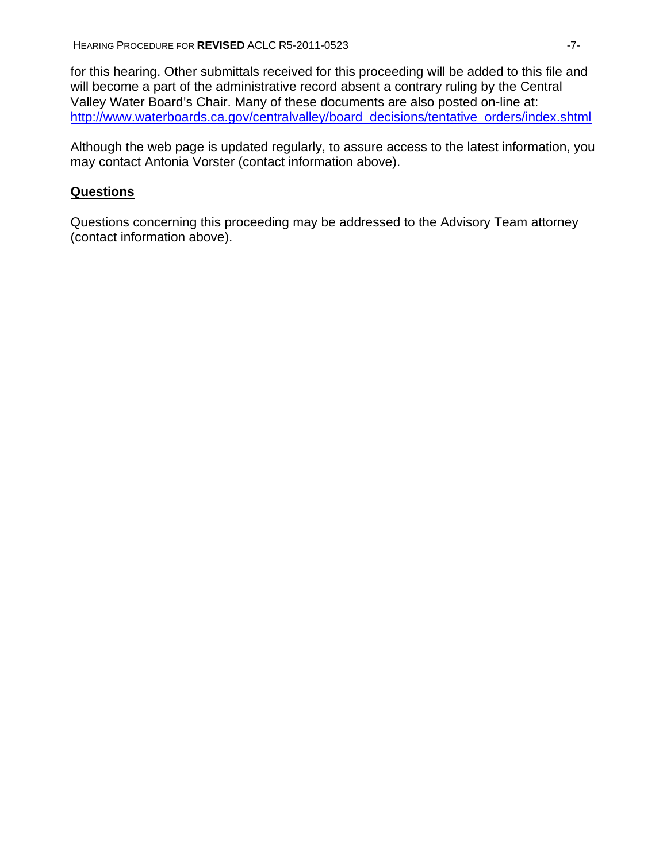for this hearing. Other submittals received for this proceeding will be added to this file and will become a part of the administrative record absent a contrary ruling by the Central Valley Water Board's Chair. Many of these documents are also posted on-line at: http://www.waterboards.ca.gov/centralvalley/board\_decisions/tentative\_orders/index.shtml

Although the web page is updated regularly, to assure access to the latest information, you may contact Antonia Vorster (contact information above).

## **Questions**

Questions concerning this proceeding may be addressed to the Advisory Team attorney (contact information above).